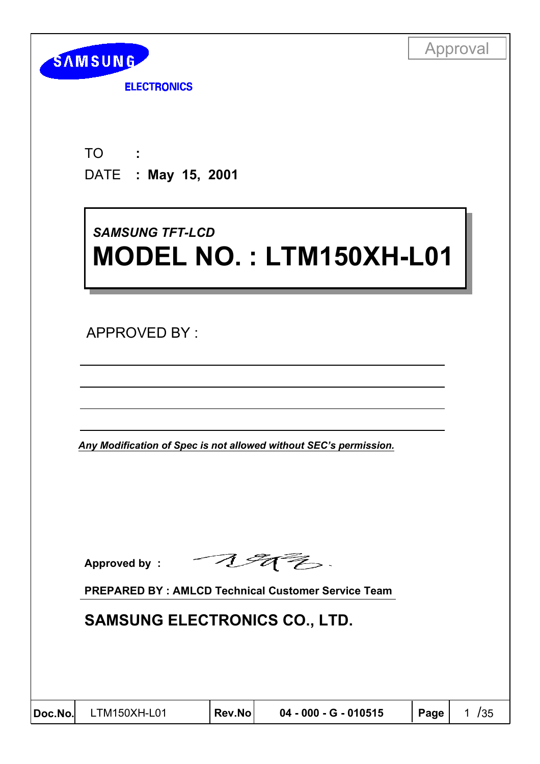| <b>SAMSUNG</b> |  |
|----------------|--|
|                |  |

**ELECTRONICS** 

TO DATE  **: May 15, 2001 :**

# *SAMSUNG TFT-LCD SAMSUNG TFT-LCD* **MODEL NO. : LTM150XH-L01 MODEL NO. : LTM150XH-L01**

APPROVED BY :

*Any Modification of Spec is not allowed without SEC's permission.*

Approved by : **Allen the Second Lines**.

**PREPARED BY : AMLCD Technical Customer Service Team**

# **SAMSUNG ELECTRONICS CO., LTD.**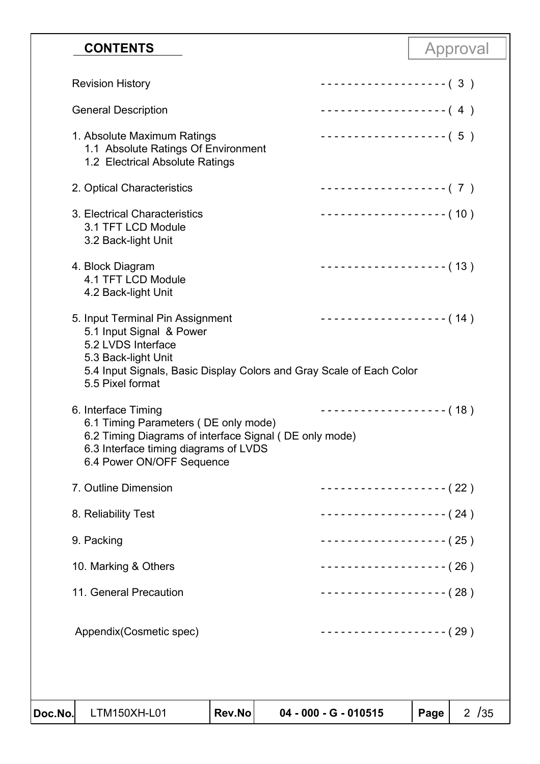### **Doc.No**! LTM150XH-L01 **Rev.No 04 - 000 - G - 010515 Page** 2 /35 **CONTENTS** Approval Revision History General Description 1. Absolute Maximum Ratings 1.1 Absolute Ratings Of Environment 1.2 Electrical Absolute Ratings 2. Optical Characteristics 3. Electrical Characteristics 3.1 TFT LCD Module 3.2 Back-light Unit 4. Block Diagram 4.1 TFT LCD Module 4.2 Back-light Unit 5. Input Terminal Pin Assignment 5.1 Input Signal & Power 5.2 LVDS Interface 5.3 Back-light Unit 5.4 Input Signals, Basic Display Colors and Gray Scale of Each Color 5.5 Pixel format 6. Interface Timing 6.1 Timing Parameters ( DE only mode) 6.2 Timing Diagrams of interface Signal ( DE only mode) 6.3 Interface timing diagrams of LVDS 6.4 Power ON/OFF Sequence 7. Outline Dimension 8. Reliability Test 9. Packing 10. Marking & Others 11. General Precaution Appendix(Cosmetic spec) - - - - - - - - - - - - - - - - - - - ( 3 ) - - - - - - - - - - - - - - - - - - - ( 4 ) - - - - - - - - - - - - - - - - - - - ( 5 ) - - - - - - - - - - - - - - - - - - - ( 7 ) - - - - - - - - - - - - - - - - - - - ( 10 ) - - - - - - - - - - - - - - - - - - - ( 13 ) - - - - - - - - - - - - - - - - - - - ( 14 ) - - - - - - - - - - - - - - - - - - - ( 18 ) - - - - - - - - - - - - - - - - - - - ( 22 ) - - - - - - - - - - - - - - - - - - - ( 24 ) - - - - - - - - - - - - - - - - - - - ( 25 ) - - - - - - - - - - - - - - - - - - - ( 26 ) - - - - - - - - - - - - - - - - - - - ( 28 ) - - - - - - - - - - - - - - - - - - - ( 29 )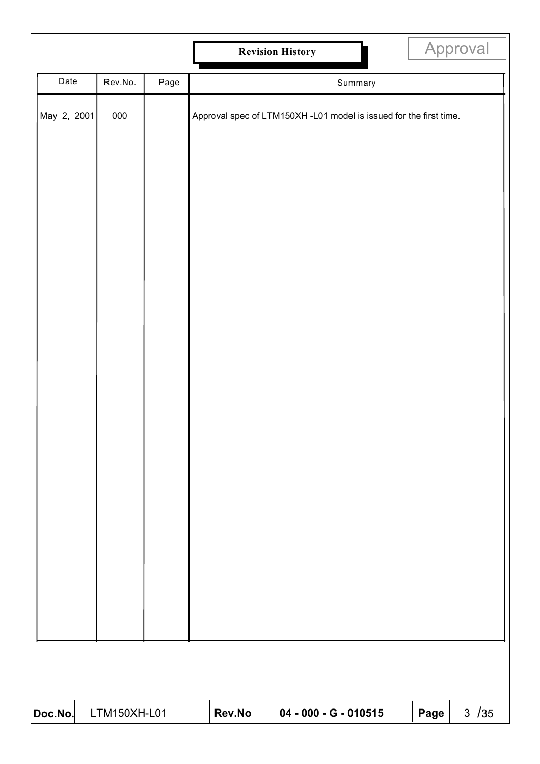|             |              |      |        | <b>Revision History</b>                                            |      | Approval |
|-------------|--------------|------|--------|--------------------------------------------------------------------|------|----------|
| Date        | Rev.No.      | Page |        | Summary                                                            |      |          |
| May 2, 2001 | 000          |      |        | Approval spec of LTM150XH -L01 model is issued for the first time. |      |          |
|             |              |      |        |                                                                    |      |          |
| Doc.No.     | LTM150XH-L01 |      | Rev.No | 04 - 000 - G - 010515                                              | Page | $3 / 35$ |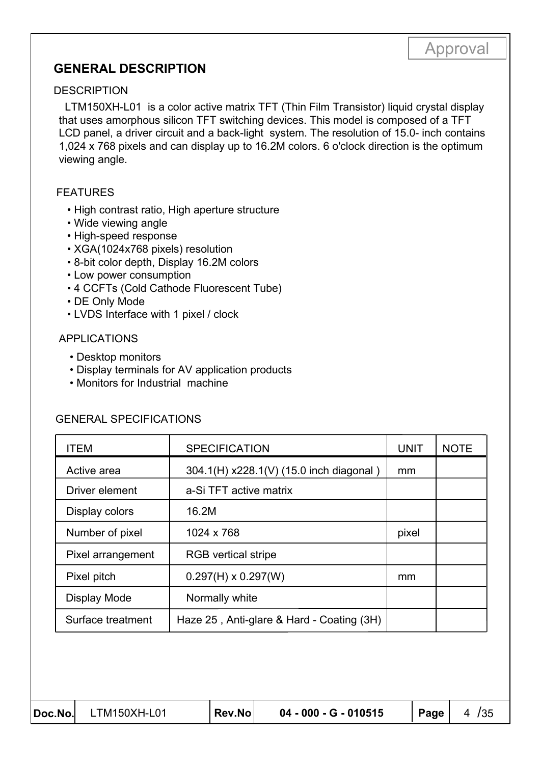### **GENERAL DESCRIPTION**

#### **DESCRIPTION**

 LTM150XH-L01 is a color active matrix TFT (Thin Film Transistor) liquid crystal display that uses amorphous silicon TFT switching devices. This model is composed of a TFT LCD panel, a driver circuit and a back-light system. The resolution of 15.0- inch contains 1,024 x 768 pixels and can display up to 16.2M colors. 6 o'clock direction is the optimum viewing angle.

#### FEATURES

- High contrast ratio, High aperture structure
- Wide viewing angle
- High-speed response
- XGA(1024x768 pixels) resolution
- 8-bit color depth, Display 16.2M colors
- Low power consumption
- 4 CCFTs (Cold Cathode Fluorescent Tube)
- DE Only Mode
- LVDS Interface with 1 pixel / clock

#### APPLICATIONS

- Desktop monitors
- Display terminals for AV application products
- Monitors for Industrial machine

#### GENERAL SPECIFICATIONS

| <b>ITEM</b>       | <b>SPECIFICATION</b>                      | <b>UNIT</b> | <b>NOTE</b> |
|-------------------|-------------------------------------------|-------------|-------------|
| Active area       | 304.1(H) x228.1(V) (15.0 inch diagonal)   | mm          |             |
| Driver element    | a-Si TFT active matrix                    |             |             |
| Display colors    | 16.2M                                     |             |             |
| Number of pixel   | 1024 x 768                                | pixel       |             |
| Pixel arrangement | <b>RGB</b> vertical stripe                |             |             |
| Pixel pitch       | $0.297(H) \times 0.297(W)$                | mm          |             |
| Display Mode      | Normally white                            |             |             |
| Surface treatment | Haze 25, Anti-glare & Hard - Coating (3H) |             |             |

| Doc.No. LTM150XH-L01 | Rev.No | 04 - 000 - G - 010515 | $ $ Page $ $ | 4 / 35 |
|----------------------|--------|-----------------------|--------------|--------|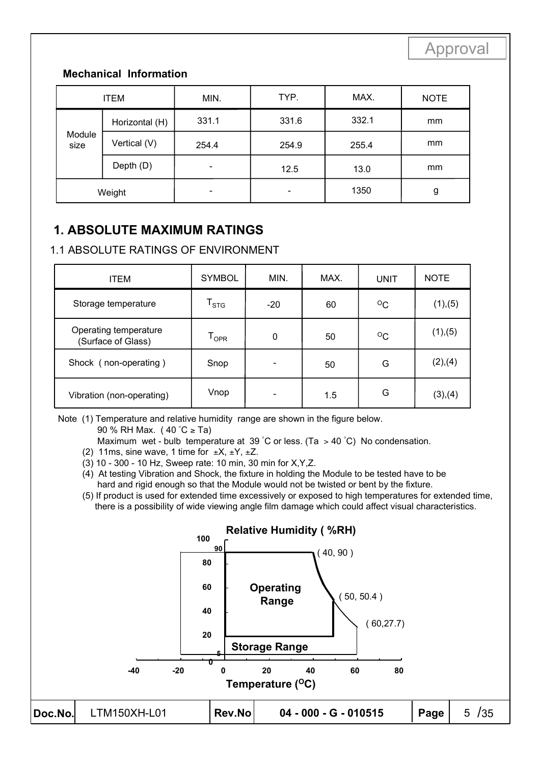#### **Mechanical Information**

| <b>ITEM</b>    |                | MIN.  | TYP.                     | MAX.  | <b>NOTE</b> |
|----------------|----------------|-------|--------------------------|-------|-------------|
|                | Horizontal (H) | 331.1 | 331.6                    | 332.1 | mm          |
| Module<br>size | Vertical (V)   | 254.4 | 254.9                    | 255.4 | mm          |
|                | Depth (D)      |       | 12.5                     | 13.0  | mm          |
|                | Weight         |       | $\overline{\phantom{0}}$ | 1350  | g           |

# **1. ABSOLUTE MAXIMUM RATINGS**

#### 1.1 ABSOLUTE RATINGS OF ENVIRONMENT

| <b>ITEM</b>                                 | <b>SYMBOL</b>               | MIN.  | MAX.    | <b>UNIT</b>  | <b>NOTE</b> |
|---------------------------------------------|-----------------------------|-------|---------|--------------|-------------|
| Storage temperature                         | $\mathsf{T}_{\texttt{STG}}$ | $-20$ | 60      | $\rm ^{O}C$  | (1), (5)    |
| Operating temperature<br>(Surface of Glass) | $\mathsf{T}_{\mathsf{OPR}}$ | 0     | 50      | $^{\circ}$ C | (1), (5)    |
| Shock (non-operating)                       | Snop                        |       | 50      | G            | (2),(4)     |
| Vibration (non-operating)                   | Vnop                        |       | $1.5\,$ | G            | (3),(4)     |

Note (1) Temperature and relative humidity range are shown in the figure below.

90 % RH Max. ( 40 ° C ≥ Ta)

- Maximum wet bulb temperature at 39 °C or less. (Ta > 40 °C) No condensation.
	- (2) 11ms, sine wave, 1 time for  $\pm X$ ,  $\pm Y$ ,  $\pm Z$ .
	- (3) 10 300 10 Hz, Sweep rate: 10 min, 30 min for X,Y,Z.
	- (4) At testing Vibration and Shock, the fixture in holding the Module to be tested have to be hard and rigid enough so that the Module would not be twisted or bent by the fixture.
	- (5) If product is used for extended time excessively or exposed to high temperatures for extended time, there is a possibility of wide viewing angle film damage which could affect visual characteristics.

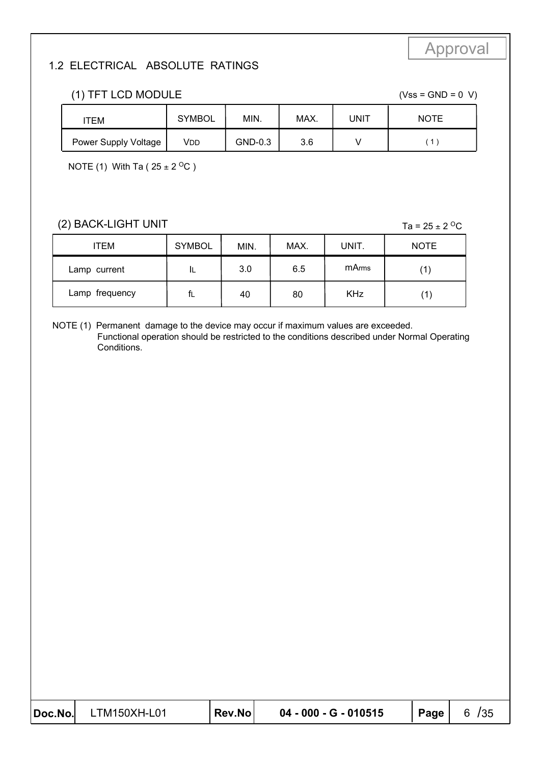#### 1.2 ELECTRICAL ABSOLUTE RATINGS

| (1) TFT LCD MODULE   | $(Vss = GND = 0 V)$ |         |      |      |             |
|----------------------|---------------------|---------|------|------|-------------|
| ITEM                 | <b>SYMBOL</b>       | MIN.    | MAX. | UNIT | <b>NOTE</b> |
| Power Supply Voltage | Vdd                 | GND-0.3 | 3.6  |      |             |

NOTE (1) With Ta ( $25 \pm 2$  <sup>O</sup>C)

#### (2) BACK-LIGHT UNIT

Ta =  $25 \pm 2$  <sup>O</sup>C

| <b>ITEM</b>    | <b>SYMBOL</b> | MIN. | MAX. | UNIT.      | <b>NOTE</b> |
|----------------|---------------|------|------|------------|-------------|
| Lamp current   | ᄔ             | 3.0  | 6.5  | m Arms     |             |
| Lamp frequency | fl            | 40   | 80   | <b>KHz</b> |             |

NOTE (1) Permanent damage to the device may occur if maximum values are exceeded. Functional operation should be restricted to the conditions described under Normal Operating Conditions.

| $ Doc\rangle$ | LTM150XH-L01 | Rev.No | 04 - 000 - G - 010515 | Page $ $ | 6 / 35 |
|---------------|--------------|--------|-----------------------|----------|--------|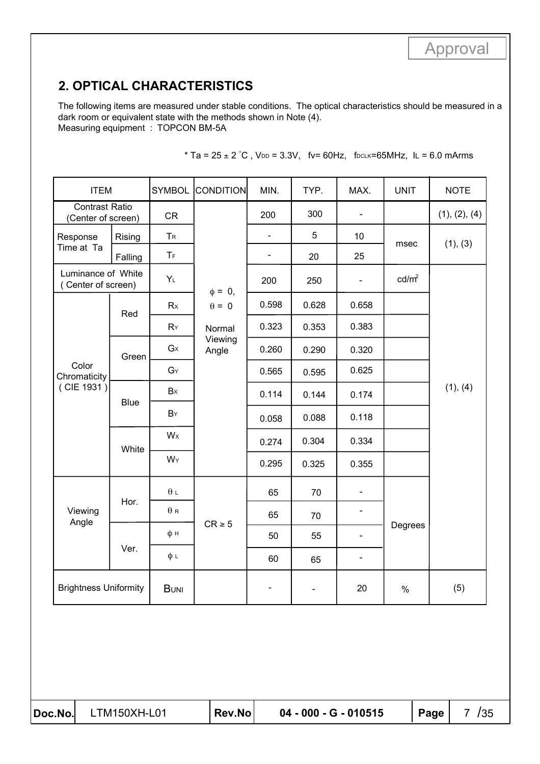# **2. OPTICAL CHARACTERISTICS**

The following items are measured under stable conditions. The optical characteristics should be measured in a dark room or equivalent state with the methods shown in Note (4). Measuring equipment : TOPCON BM-5A

| <b>ITEM</b>                                 |             | <b>SYMBOL</b>           | <b>CONDITION</b> | MIN.                     | TYP.                     | MAX.                         | <b>UNIT</b>       | <b>NOTE</b>   |
|---------------------------------------------|-------------|-------------------------|------------------|--------------------------|--------------------------|------------------------------|-------------------|---------------|
| <b>Contrast Ratio</b><br>(Center of screen) |             | <b>CR</b>               |                  | 200                      | 300                      | $\blacksquare$               |                   | (1), (2), (4) |
| Response                                    | Rising      | T <sub>R</sub>          |                  |                          | 5                        | 10                           | msec              | (1), (3)      |
| Time at Ta                                  | Falling     | $\mathsf T_{\mathsf F}$ |                  | $\overline{\phantom{a}}$ | 20                       | 25                           |                   |               |
| Luminance of White<br>(Center of screen)    |             | $Y_L$                   | $\phi = 0,$      | 200                      | 250                      | $\blacksquare$               | cd/m <sup>2</sup> |               |
|                                             | Red         | Rx                      | $\theta = 0$     | 0.598                    | 0.628                    | 0.658                        |                   |               |
|                                             |             | RY                      | Normal           | 0.323                    | 0.353                    | 0.383                        |                   |               |
|                                             | Green       | $G_{X}$                 | Viewing<br>Angle | 0.260                    | 0.290                    | 0.320                        |                   |               |
| Color<br>Chromaticity                       |             | $G_Y$                   |                  | 0.565                    | 0.595                    | 0.625                        |                   |               |
| (CIE 1931)                                  | <b>Blue</b> | Bx                      |                  | 0.114                    | 0.144                    | 0.174                        |                   | (1), (4)      |
|                                             |             | BY                      |                  | 0.058                    | 0.088                    | 0.118                        |                   |               |
|                                             | White       | Wx                      |                  | 0.274                    | 0.304                    | 0.334                        |                   |               |
|                                             |             | WY                      |                  | 0.295                    | 0.325                    | 0.355                        |                   |               |
|                                             |             | $\theta L$              |                  | 65                       | 70                       | $\blacksquare$               |                   |               |
| Viewing<br>Angle                            | Hor.        | $\theta$ R              |                  | 65                       | 70                       | $\blacksquare$               |                   |               |
|                                             |             | φн                      | $CR \geq 5$      | 50                       | 55                       | $\overline{\phantom{a}}$     | Degrees           |               |
|                                             | Ver.        | фι                      |                  | 60                       | 65                       | $\qquad \qquad \blacksquare$ |                   |               |
| <b>Brightness Uniformity</b>                |             | <b>BUNI</b>             |                  | $\blacksquare$           | $\overline{\phantom{0}}$ | 20                           | $\%$              | (5)           |

| * Ta = $25 \pm 2$ °C, VDD = 3.3V, fv= 60Hz, fDCLK=65MHz, IL = 6.0 mArms |  |  |  |  |
|-------------------------------------------------------------------------|--|--|--|--|
|-------------------------------------------------------------------------|--|--|--|--|

| Doc.No.l |  |
|----------|--|
|          |  |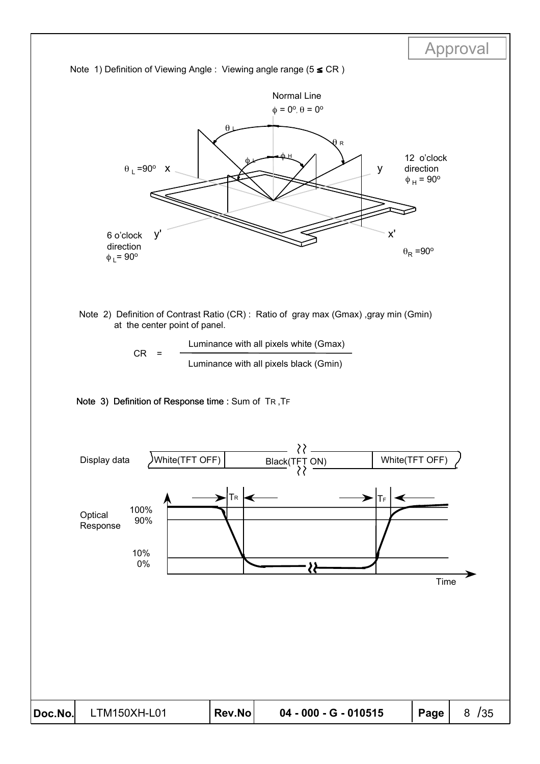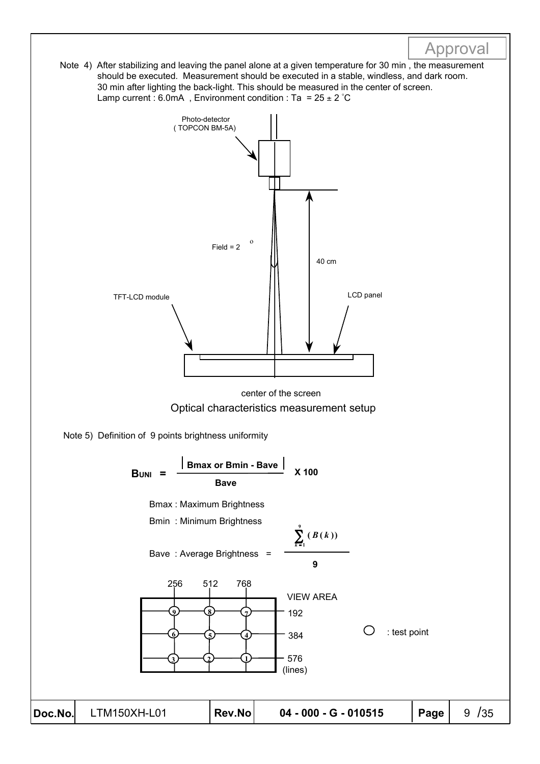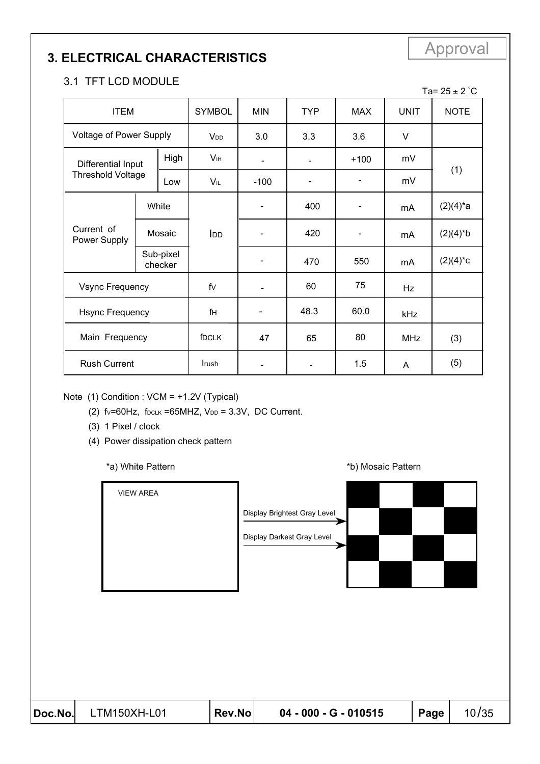# Approval **3. ELECTRICAL CHARACTERISTICS**

#### 3.1 TFT LCD MODULE

| <b>ITEM</b>                    |        |                      | <b>SYMBOL</b>          | <b>MIN</b>               | <b>TYP</b>     | <b>MAX</b> | <b>UNIT</b> | <b>NOTE</b>      |
|--------------------------------|--------|----------------------|------------------------|--------------------------|----------------|------------|-------------|------------------|
| <b>Voltage of Power Supply</b> |        |                      | <b>V</b> <sub>DD</sub> | 3.0                      | 3.3            | 3.6        | V           |                  |
| Differential Input             |        | High                 | <b>V</b> IH            | $\blacksquare$           | $\blacksquare$ | $+100$     | mV          |                  |
| <b>Threshold Voltage</b>       |        | Low                  | VIL                    | $-100$                   |                |            | mV          | (1)              |
|                                |        | White                |                        |                          | 400            |            | mA          | $(2)(4)^{*}a$    |
| Current of<br>Power Supply     | Mosaic |                      | I <sub>DD</sub>        |                          | 420            |            | mA          | $(2)(4)^*b$      |
|                                |        | Sub-pixel<br>checker |                        |                          | 470            | 550        | mA          | $(2)(4)^{\ast}c$ |
| <b>Vsync Frequency</b>         |        |                      | fv                     | $\overline{\phantom{a}}$ | 60             | 75         | Hz          |                  |
| <b>Hsync Frequency</b>         |        |                      | fн                     |                          | 48.3           | 60.0       | kHz         |                  |
| Main Frequency                 |        |                      | fDCLK                  | 47                       | 65             | 80         | <b>MHz</b>  | (3)              |
| <b>Rush Current</b>            |        |                      | Irush                  |                          |                | 1.5        | A           | (5)              |

Note (1) Condition : VCM = +1.2V (Typical)

(2)  $f_v=60Hz$ ,  $f_{DCLK} =65MHz$ ,  $V_{DD} = 3.3V$ , DC Current.

- (3) 1 Pixel / clock
- (4) Power dissipation check pattern

\*a) White Pattern **\*b**) Mosaic Pattern **\*b**)



Ta= 25  $\pm$  2  $^{\circ}$ C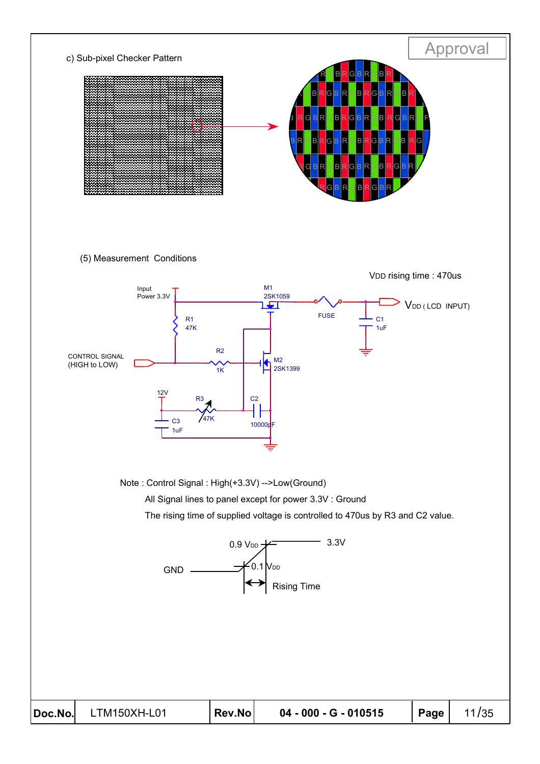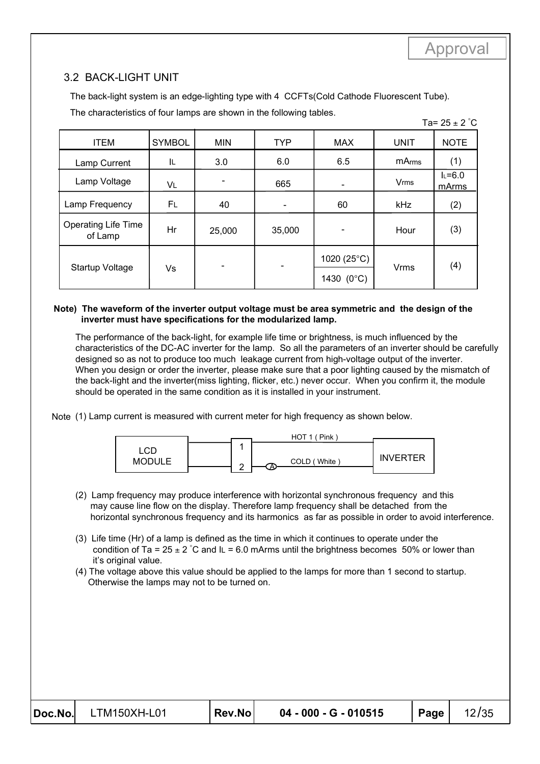#### 3.2 BACK-LIGHT UNIT

The back-light system is an edge-lighting type with 4 CCFTs(Cold Cathode Fluorescent Tube).

The characteristics of four lamps are shown in the following tables.

|--|--|--|

| <b>ITEM</b>                           | <b>SYMBOL</b> | <b>MIN</b> | <b>TYP</b>      | <b>MAX</b>           | <b>UNIT</b>            | <b>NOTE</b>      |
|---------------------------------------|---------------|------------|-----------------|----------------------|------------------------|------------------|
| Lamp Current                          | IL            | 3.0        | 6.0             | 6.5                  | mArms                  | (1)              |
| Lamp Voltage                          | VL            |            | 665             |                      | <b>V<sub>rms</sub></b> | $L=6.0$<br>mArms |
| Lamp Frequency                        | FL            | 40         | $\qquad \qquad$ | 60                   | kHz                    | (2)              |
| <b>Operating Life Time</b><br>of Lamp | Hr            | 25,000     | 35,000          |                      | Hour                   | (3)              |
|                                       |               |            |                 | 1020 $(25^{\circ}C)$ |                        |                  |
| Startup Voltage                       | Vs            |            |                 | 1430 (0°C)           | <b>Vrms</b>            | (4)              |

#### **Note) The waveform of the inverter output voltage must be area symmetric and the design of the inverter must have specifications for the modularized lamp.**

The performance of the back-light, for example life time or brightness, is much influenced by the characteristics of the DC-AC inverter for the lamp. So all the parameters of an inverter should be carefully designed so as not to produce too much leakage current from high-voltage output of the inverter. When you design or order the inverter, please make sure that a poor lighting caused by the mismatch of the back-light and the inverter(miss lighting, flicker, etc.) never occur. When you confirm it, the module should be operated in the same condition as it is installed in your instrument.

Note (1) Lamp current is measured with current meter for high frequency as shown below.



- (2) Lamp frequency may produce interference with horizontal synchronous frequency and this may cause line flow on the display. Therefore lamp frequency shall be detached from the horizontal synchronous frequency and its harmonics as far as possible in order to avoid interference.
- (3) Life time (Hr) of a lamp is defined as the time in which it continues to operate under the condition of Ta = 25  $\pm$  2 °C and IL = 6.0 mArms until the brightness becomes 50% or lower than it's original value.
- (4) The voltage above this value should be applied to the lamps for more than 1 second to startup. Otherwise the lamps may not to be turned on.

| Doc.No. | LTM150XH-L01 |
|---------|--------------|
|---------|--------------|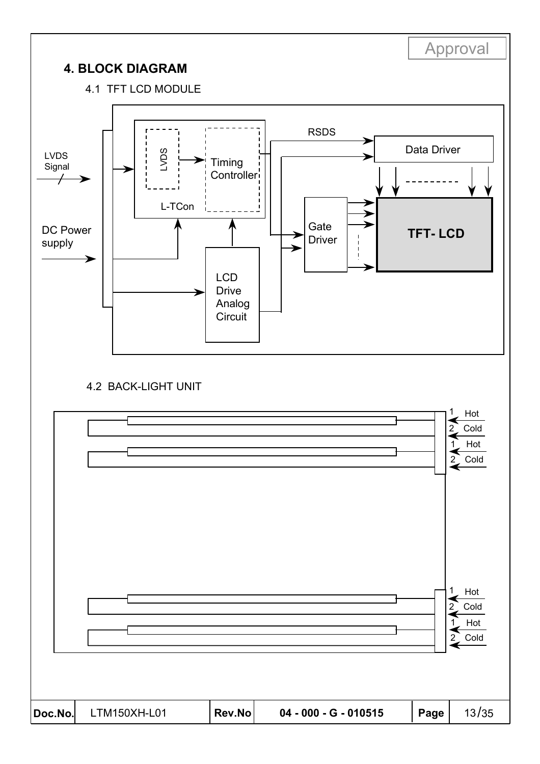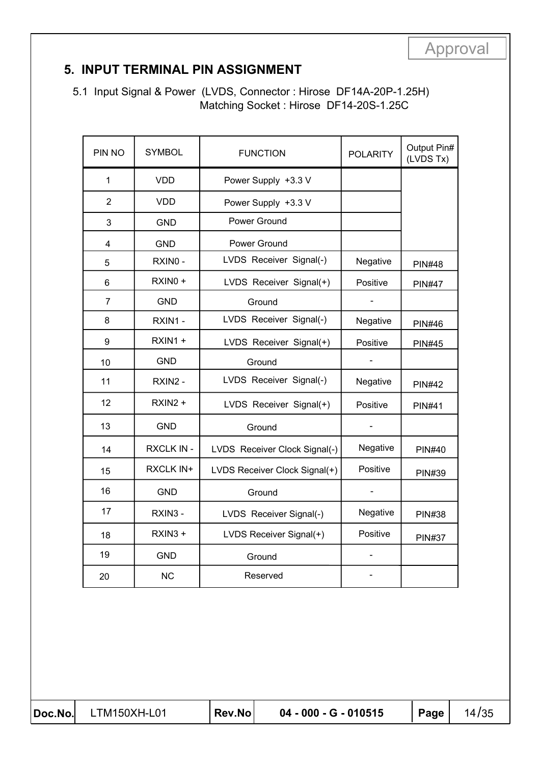| Approval |  |  |  |  |
|----------|--|--|--|--|
|          |  |  |  |  |

### **5. INPUT TERMINAL PIN ASSIGNMENT**

 5.1 Input Signal & Power (LVDS, Connector : Hirose DF14A-20P-1.25H) Matching Socket : Hirose DF14-20S-1.25C

| PIN NO         | <b>SYMBOL</b> | <b>FUNCTION</b>               | <b>POLARITY</b> | Output Pin#<br>(LVDS Tx) |
|----------------|---------------|-------------------------------|-----------------|--------------------------|
| 1              | <b>VDD</b>    | Power Supply +3.3 V           |                 |                          |
| $\overline{2}$ | VDD.          | Power Supply +3.3 V           |                 |                          |
| 3              | <b>GND</b>    | Power Ground                  |                 |                          |
| 4              | <b>GND</b>    | Power Ground                  |                 |                          |
| 5              | RXINO -       | LVDS Receiver Signal(-)       | Negative        | <b>PIN#48</b>            |
| 6              | RXIN0 +       | LVDS Receiver Signal(+)       | Positive        | <b>PIN#47</b>            |
| $\overline{7}$ | <b>GND</b>    | Ground                        |                 |                          |
| 8              | RXIN1 -       | LVDS Receiver Signal(-)       | Negative        | <b>PIN#46</b>            |
| 9              | $RXIN1 +$     | LVDS Receiver Signal(+)       | Positive        | <b>PIN#45</b>            |
| 10             | <b>GND</b>    | Ground                        |                 |                          |
| 11             | RXIN2 -       | LVDS Receiver Signal(-)       | Negative        | <b>PIN#42</b>            |
| 12             | $RXIN2 +$     | LVDS Receiver Signal(+)       | Positive        | <b>PIN#41</b>            |
| 13             | <b>GND</b>    | Ground                        |                 |                          |
| 14             | RXCLK IN -    | LVDS Receiver Clock Signal(-) | Negative        | <b>PIN#40</b>            |
| 15             | RXCLK IN+     | LVDS Receiver Clock Signal(+) | Positive        | <b>PIN#39</b>            |
| 16             | <b>GND</b>    | Ground                        |                 |                          |
| 17             | RXIN3 -       | LVDS Receiver Signal(-)       | Negative        | <b>PIN#38</b>            |
| 18             | RXIN3 +       | LVDS Receiver Signal(+)       | Positive        | <b>PIN#37</b>            |
| 19             | <b>GND</b>    | Ground                        |                 |                          |
| 20             | <b>NC</b>     | Reserved                      |                 |                          |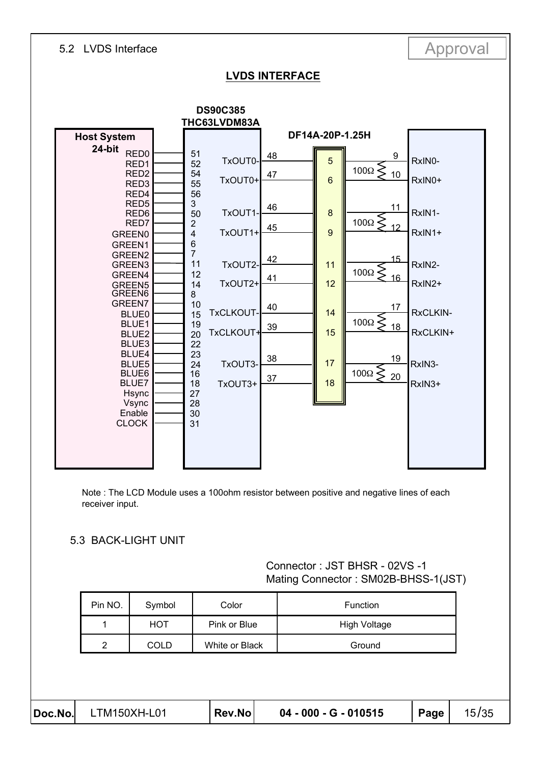# 5.2 LVDS Interface Approval

#### **LVDS INTERFACE**



Note : The LCD Module uses a 100ohm resistor between positive and negative lines of each receiver input.

#### 5.3 BACK-LIGHT UNIT

#### Connector : JST BHSR - 02VS -1 Mating Connector : SM02B-BHSS-1(JST)

| Doc.No. | LTM150XH-L01   |             | Rev.No         | 04 - 000 - G - 010515 | Page | 15/35 |
|---------|----------------|-------------|----------------|-----------------------|------|-------|
|         |                |             |                |                       |      |       |
|         | $\overline{2}$ | <b>COLD</b> | White or Black | Ground                |      |       |
|         | 1              | <b>HOT</b>  | Pink or Blue   | <b>High Voltage</b>   |      |       |
|         | Pin NO.        | Symbol      | Color          | Function              |      |       |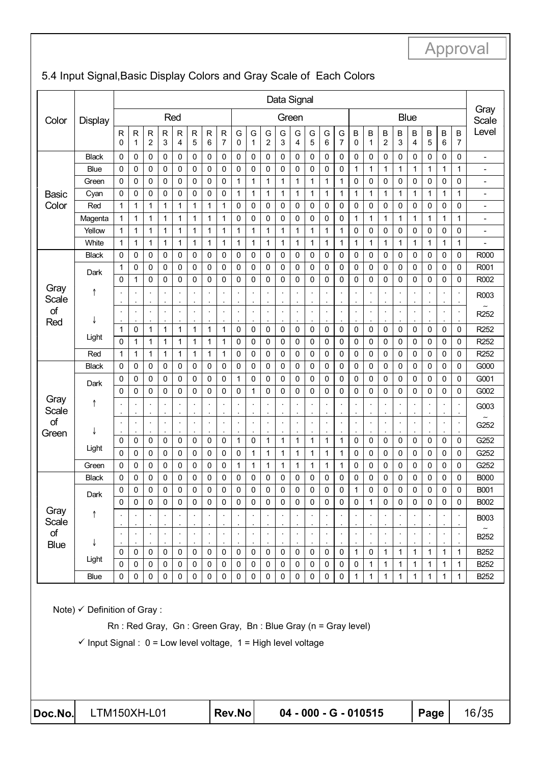| Color             |              | Data Signal      |                |                                      |              |              |                      |                   |                  |                                              |                |                       |                                 |              |              |                      |              |                |              |                              |                     |              |                      |              |                      |                  |
|-------------------|--------------|------------------|----------------|--------------------------------------|--------------|--------------|----------------------|-------------------|------------------|----------------------------------------------|----------------|-----------------------|---------------------------------|--------------|--------------|----------------------|--------------|----------------|--------------|------------------------------|---------------------|--------------|----------------------|--------------|----------------------|------------------|
|                   | Display      |                  |                |                                      |              | Red          |                      |                   |                  |                                              |                |                       | Green                           |              |              |                      |              |                |              |                              | Blue                |              |                      |              |                      | Gray<br>Scale    |
|                   |              | R<br>$\mathbf 0$ | ${\sf R}$<br>1 | ${\sf R}$<br>$\overline{\mathbf{c}}$ | R<br>3       | R<br>4       | $\mathsf{R}$<br>5    | $\mathsf{R}$<br>6 | $\mathsf R$<br>7 | G<br>0                                       | G<br>1         | G<br>$\boldsymbol{2}$ | G<br>3                          | G<br>4       | G<br>5       | G<br>6               | G<br>7       | Β<br>0         | В<br>1       | B<br>$\overline{\mathbf{c}}$ | В<br>3              | B<br>4       | B<br>5               | B<br>6       | B<br>7               | Level            |
|                   | <b>Black</b> | 0                | 0              | 0                                    | 0            | 0            | 0                    | 0                 | 0                | 0                                            | 0              | 0                     | 0                               | 0            | 0            | 0                    | 0            | 0              | 0            | 0                            | 0                   | 0            | 0                    | 0            | 0                    | $\blacksquare$   |
|                   | Blue         | 0                | 0              | 0                                    | 0            | 0            | 0                    | 0                 | 0                | 0                                            | 0              | 0                     | 0                               | 0            | 0            | 0                    | 0            | 1              | 1            | 1                            | 1                   | $\mathbf{1}$ | 1                    | 1            | 1                    | $\overline{a}$   |
|                   | Green        | 0                | 0              | 0                                    | 0            | 0            | 0                    | 0                 | 0                | 1                                            | 1              | 1                     | 1                               | $\mathbf{1}$ | 1            | 1                    | 1            | 0              | 0            | 0                            | 0                   | 0            | 0                    | 0            | 0                    | $\overline{a}$   |
| <b>Basic</b>      | Cyan         | $\mathbf 0$      | 0              | 0                                    | 0            | 0            | 0                    | 0                 | 0                | $\mathbf{1}$                                 | 1              | 1                     | $\mathbf{1}$                    | $\mathbf{1}$ | 1            | 1                    | $\mathbf{1}$ | $\mathbf{1}$   | 1            | 1                            | 1                   | $\mathbf{1}$ | 1                    | $\mathbf{1}$ | 1                    | $\overline{a}$   |
| Color             | Red          | 1                | 1              | 1                                    | 1            | 1            | 1                    | 1                 | 1                | 0                                            | 0              | 0                     | 0                               | 0            | 0            | 0                    | 0            | 0              | 0            | 0                            | 0                   | 0            | 0                    | 0            | 0                    | ÷,               |
|                   | Magenta      | 1                | 1              | 1                                    | 1            | $\mathbf{1}$ | $\mathbf 1$          | 1                 | 1                | 0                                            | 0              | 0                     | 0                               | 0            | 0            | 0                    | 0            | 1              | 1            | 1                            | 1                   | 1            | 1                    | 1            | 1                    | $\overline{a}$   |
|                   | Yellow       | 1                | 1              | 1                                    | 1            | 1            | $\mathbf 1$          | 1                 | 1                | 1                                            | 1              | 1                     | 1                               | $\mathbf{1}$ | 1            | 1                    | 1            | 0              | 0            | 0                            | 0                   | 0            | 0                    | 0            | 0                    | $\overline{a}$   |
|                   | White        | 1                | $\mathbf{1}$   | $\mathbf{1}$                         | $\mathbf{1}$ | $\mathbf{1}$ | $\mathbf{1}$         | 1                 | 1                | $\mathbf{1}$                                 | $\mathbf{1}$   | 1                     | $\mathbf{1}$                    | $\mathbf{1}$ | 1            | $\mathbf{1}$         | $\mathbf{1}$ | $\mathbf{1}$   | $\mathbf{1}$ | 1                            | 1                   | $\mathbf{1}$ | $\mathbf{1}$         | $\mathbf{1}$ | $\mathbf{1}$         |                  |
|                   | <b>Black</b> | 0                | 0              | 0                                    | 0            | 0            | 0                    | 0                 | 0                | 0                                            | 0              | 0                     | 0                               | 0            | 0            | 0                    | 0            | 0              | 0            | 0                            | 0                   | 0            | 0                    | 0            | 0                    | R000             |
|                   | Dark         | 1                | 0              | $\mathbf 0$                          | 0            | 0            | $\mathbf 0$          | 0                 | 0                | 0                                            | 0              | 0                     | 0                               | 0            | 0            | 0                    | 0            | 0              | 0            | 0                            | 0                   | 0            | 0                    | 0            | 0                    | R001             |
| Gray              |              | 0                | 1              | 0                                    | 0            | $\mathbf 0$  | $\mathbf 0$          | 0                 | 0                | 0                                            | 0              | 0                     | 0                               | 0            | 0            | 0                    | 0            | 0              | 0            | 0                            | 0                   | 0            | 0                    | 0            | 0                    | R002             |
| Scale             | ↑            |                  |                |                                      |              |              | $\cdot$              |                   |                  | $\cdot$                                      |                |                       | ×,<br>$\cdot$                   |              |              |                      |              |                |              |                              |                     |              |                      |              |                      | R003             |
| of<br>Red         | J            |                  |                | $\ddot{\phantom{a}}$                 |              |              | $\ddot{\phantom{a}}$ |                   |                  | $\ddot{\phantom{0}}$                         |                |                       | $\ddot{\phantom{0}}$            | $\cdot$      |              | $\ddot{\phantom{a}}$ | ÷,           |                |              | $\cdot$                      |                     |              | $\ddot{\phantom{a}}$ | $\cdot$      | $\ddot{\phantom{a}}$ | R <sub>252</sub> |
|                   |              | 1                | 0              | $\mathbf{1}$                         | $\mathbf{1}$ | 1            | $\mathbf{1}$         | 1                 | 1                | 0                                            | 0              | 0                     | 0                               | 0            | 0            | 0                    | 0            | 0              | 0            | 0                            | 0                   | 0            | 0                    | 0            | 0                    | R <sub>252</sub> |
|                   | Light        | $\mathbf 0$      | 1              | 1                                    | 1            | 1            | $\mathbf{1}$         | 1                 | 1                | 0                                            | 0              | 0                     | 0                               | 0            | 0            | 0                    | 0            | 0              | 0            | 0                            | 0                   | 0            | 0                    | 0            | 0                    | R <sub>252</sub> |
|                   | Red          | 1                | 1              | 1                                    | 1            | 1            | 1                    | 1                 | 1                | 0                                            | 0              | 0                     | 0                               | $\mathbf 0$  | 0            | 0                    | 0            | 0              | 0            | 0                            | 0                   | 0            | 0                    | 0            | 0                    | R <sub>252</sub> |
|                   | <b>Black</b> | 0                | 0              | 0                                    | 0            | 0            | 0                    | 0                 | 0                | 0                                            | 0              | 0                     | 0                               | 0            | 0            | 0                    | 0            | 0              | 0            | 0                            | 0                   | 0            | 0                    | 0            | 0                    | G000             |
|                   | Dark         | $\mathbf 0$      | 0              | 0                                    | 0            | $\mathbf 0$  | $\mathbf 0$          | 0                 | 0                | $\mathbf{1}$                                 | $\mathbf 0$    | 0                     | 0                               | $\mathbf 0$  | 0            | 0                    | 0            | 0              | 0            | 0                            | 0                   | 0            | 0                    | 0            | 0                    | G001             |
|                   |              | $\Omega$         | 0              | 0                                    | 0            | 0            | 0                    | 0                 | 0                | 0                                            | 1              | 0                     | 0                               | 0            | 0            | 0                    | 0            | 0              | 0            | 0                            | 0                   | 0            | 0                    | 0            | 0                    | G002             |
| Gray<br>Scale     | ↑            |                  |                |                                      | ×,           |              | ÷,<br>÷,             |                   |                  | $\ddot{\phantom{0}}$<br>$\ddot{\phantom{0}}$ | $\blacksquare$ |                       | $\cdot$                         |              |              |                      |              | ×,             |              |                              |                     |              | $\cdot$              |              |                      | G003             |
| of<br>Green       | J            |                  |                | $\ddot{\phantom{a}}$                 |              |              | $\blacksquare$       |                   |                  | $\ddot{\phantom{0}}$<br>$\cdot$              |                | $\cdot$               | $\ddot{\phantom{a}}$<br>$\cdot$ | $\cdot$      |              |                      | ÷,           | ÷,             |              | $\cdot$                      |                     |              | $\cdot$              |              |                      | G252             |
|                   |              | $\mathbf 0$      | 0              | 0                                    | 0            | 0            | 0                    | 0                 | 0                | 1                                            | 0              | $\mathbf{1}$          | 1                               | 1            | 1            | 1                    | $\mathbf{1}$ | 0              | 0            | 0                            | 0                   | 0            | 0                    | 0            | 0                    | G252             |
|                   | Light        | 0                | 0              | 0                                    | 0            | 0            | 0                    | 0                 | 0                | 0                                            | 1              | 1                     | 1                               | 1            | 1            | 1                    | 1            | 0              | 0            | 0                            | 0                   | 0            | 0                    | 0            | 0                    | G252             |
|                   | Green        | 0                | 0              | 0                                    | 0            | 0            | 0                    | 0                 | 0                | 1                                            | 1              | 1                     | 1                               | 1            | 1            | 1                    | 1            | 0              | 0            | 0                            | 0                   | 0            | 0                    | 0            | 0                    | G252             |
|                   | Black        | 0                | 0              | 0                                    | 0            | 0            | 0                    | 0                 | 0                | 0                                            | 0              | 0                     | 0                               | 0            | 0            | 0                    | 0            | 0              | 0            | 0                            | 0                   | 0            | 0                    | 0            | 0                    | <b>B000</b>      |
|                   | Dark         | $\Omega$         | $\Omega$       | $\mathbf 0$                          | 0            | $\mathbf{0}$ | 0                    | 0                 | 0                | $\mathbf{0}$                                 | 0              | 0                     | $\mathbf{0}$                    | $\mathbf 0$  | 0            | 0                    | 0            | 1              | $\Omega$     | 0                            | 0                   | $\Omega$     | $\mathbf{0}$         | $\Omega$     | $\Omega$             | B001             |
| Gray              |              | 0                | 0              | $\mathbf 0$                          | $\pmb{0}$    | $\mathsf 0$  | $\pmb{0}$            | $\mathbf 0$       | $\mathbf 0$      | 0                                            | $\pmb{0}$      | $\pmb{0}$             | $\mathsf 0$                     | $\pmb{0}$    | $\mathsf{O}$ | $\pmb{0}$            | $\pmb{0}$    | $\mathsf 0$    | 1            | $\mathsf 0$                  | $\mathsf{O}\xspace$ | 0            | 0                    | $\pmb{0}$    | 0                    | B002             |
| Scale             | $\uparrow$   |                  |                |                                      |              |              |                      |                   |                  |                                              |                |                       |                                 |              |              |                      |              |                |              |                              |                     |              |                      |              |                      | <b>B003</b>      |
| of<br><b>Blue</b> | ↓            |                  |                |                                      |              |              | $\blacksquare$       |                   |                  |                                              |                |                       | $\ddot{\phantom{0}}$            |              |              |                      |              | $\blacksquare$ |              | $\cdot$                      |                     |              |                      |              | $\ddot{\phantom{0}}$ | B <sub>252</sub> |
|                   |              | $\mathbf 0$      | $\mathbf 0$    | $\mathbf 0$                          | $\mathbf 0$  | $\pmb{0}$    | $\pmb{0}$            | $\mathbf 0$       | 0                | $\mathbf 0$                                  | $\mathbf 0$    | $\mathsf{O}\xspace$   | $\mathbf 0$                     | $\mathbf 0$  | $\mathbf 0$  | $\mathbf 0$          | 0            | $\mathbf{1}$   | $\mathsf 0$  | $\mathbf{1}$                 | $\mathbf{1}$        | $\mathbf{1}$ | $\mathbf{1}$         | $\mathbf{1}$ | $\mathbf{1}$         | B252             |
|                   | Light        | $\Omega$         | $\mathbf 0$    | $\mathbf 0$                          | $\mathbf 0$  | $\mathsf 0$  | 0                    | $\mathbf 0$       | $\mathbf 0$      | $\mathbf 0$                                  | $\pmb{0}$      | $\pmb{0}$             | 0                               | $\pmb{0}$    | $\mathbf 0$  | $\mathbf 0$          | 0            | $\pmb{0}$      | 1            | $\mathbf{1}$                 | $\mathbf{1}$        | $\mathbf{1}$ | $\mathbf{1}$         | $\mathbf{1}$ | $\mathbf{1}$         | B252             |
|                   | <b>Blue</b>  | $\mathbf 0$      | 0              | 0                                    | 0            | 0            | 0                    | 0                 | 0                | 0                                            | 0              | 0                     | 0                               | 0            | 0            | 0                    | 0            | 1              | $\mathbf{1}$ | 1                            | 1                   | $\mathbf{1}$ | $\mathbf{1}$         | 1            | $\mathbf{1}$         | B252             |

# 5.4 Input Signal,Basic Display Colors and Gray Scale of Each Colors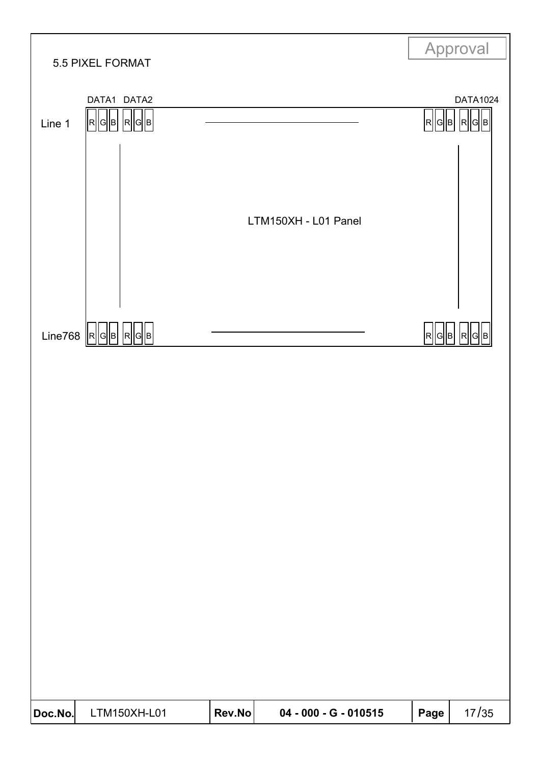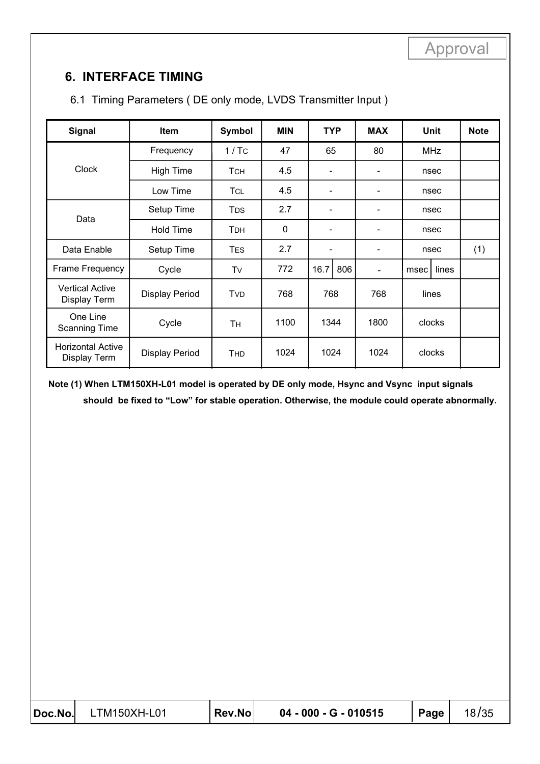# **6. INTERFACE TIMING**

| <b>Signal</b>                            | <b>Item</b>           | Symbol     | <b>MIN</b> | <b>TYP</b>               |     | <b>MAX</b>                   |            | <b>Unit</b> | <b>Note</b> |
|------------------------------------------|-----------------------|------------|------------|--------------------------|-----|------------------------------|------------|-------------|-------------|
|                                          | Frequency             | 1/TC       | 47         | 65                       |     | 80                           | <b>MHz</b> |             |             |
| <b>Clock</b>                             | <b>High Time</b>      | <b>TCH</b> | 4.5        |                          |     |                              |            | nsec        |             |
|                                          | Low Time              | TCL        | 4.5        |                          |     | $\overline{\phantom{a}}$     | nsec       |             |             |
| Data                                     | Setup Time            | <b>TDS</b> | 2.7        |                          |     | $\qquad \qquad \blacksquare$ | nsec       |             |             |
|                                          | Hold Time             | <b>TDH</b> | 0          | $\overline{\phantom{a}}$ |     | $\overline{\phantom{a}}$     | nsec       |             |             |
| Data Enable                              | Setup Time            | <b>TES</b> | 2.7        |                          |     | $\overline{\phantom{a}}$     | nsec       |             | (1)         |
| Frame Frequency                          | Cycle                 | Tv         | 772        | 16.7                     | 806 | $\overline{\phantom{a}}$     | msec       | lines       |             |
| <b>Vertical Active</b><br>Display Term   | <b>Display Period</b> | <b>TVD</b> | 768        | 768                      |     | 768                          | lines      |             |             |
| One Line<br><b>Scanning Time</b>         | Cycle                 | Tн         | 1100       | 1344                     |     | 1800                         |            | clocks      |             |
| <b>Horizontal Active</b><br>Display Term | Display Period        | <b>THD</b> | 1024       | 1024                     |     | 1024                         |            | clocks      |             |

### 6.1 Timing Parameters ( DE only mode, LVDS Transmitter Input )

**Note (1) When LTM150XH-L01 model is operated by DE only mode, Hsync and Vsync input signals should be fixed to "Low" for stable operation. Otherwise, the module could operate abnormally.**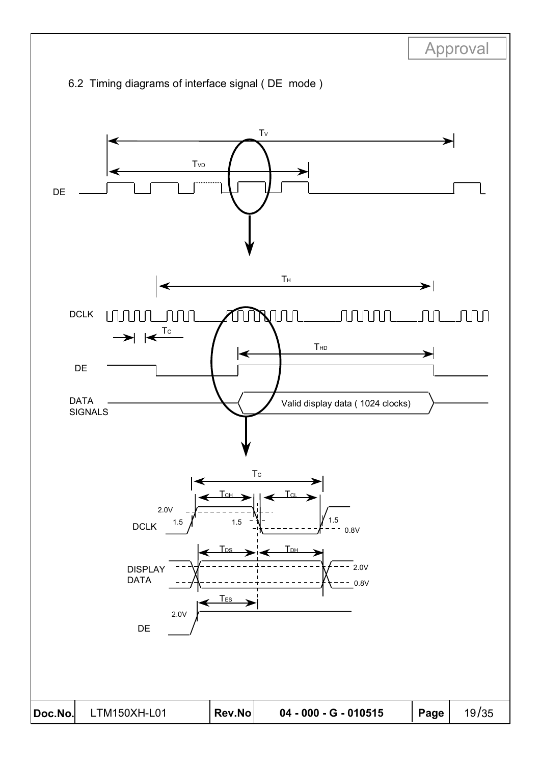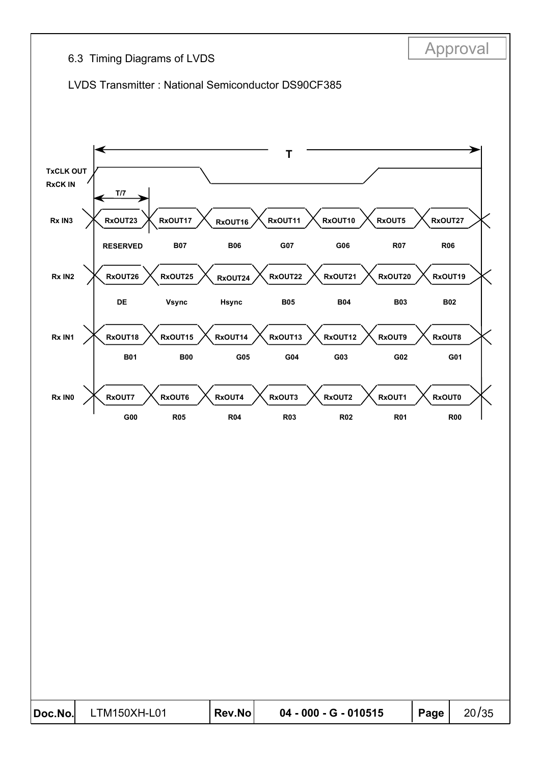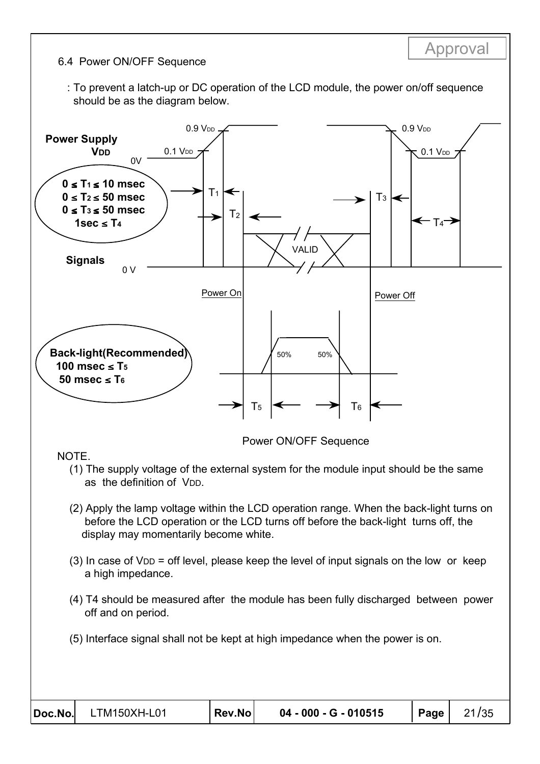#### 6.4 Power ON/OFF Sequence

 : To prevent a latch-up or DC operation of the LCD module, the power on/off sequence should be as the diagram below.

Approval



#### NOTE.

- (1) The supply voltage of the external system for the module input should be the same as the definition of VDD.
- (2) Apply the lamp voltage within the LCD operation range. When the back-light turns on before the LCD operation or the LCD turns off before the back-light turns off, the display may momentarily become white.
- $(3)$  In case of  $V_{DD}$  = off level, please keep the level of input signals on the low or keep a high impedance.
- (4) T4 should be measured after the module has been fully discharged between power off and on period.
- (5) Interface signal shall not be kept at high impedance when the power is on.

| $ Doc\rangle$ LTM150XH-L01 | Rev.No | 04 - 000 - G - 010515 | ∣ Page I | 21/35 |
|----------------------------|--------|-----------------------|----------|-------|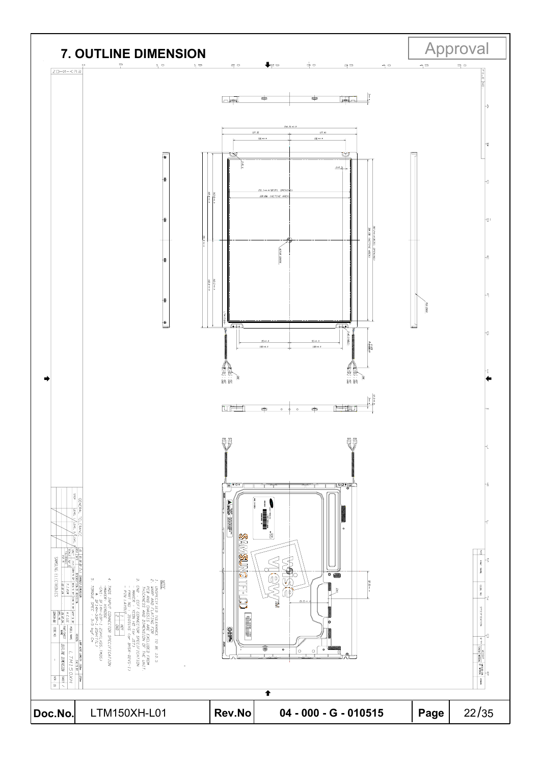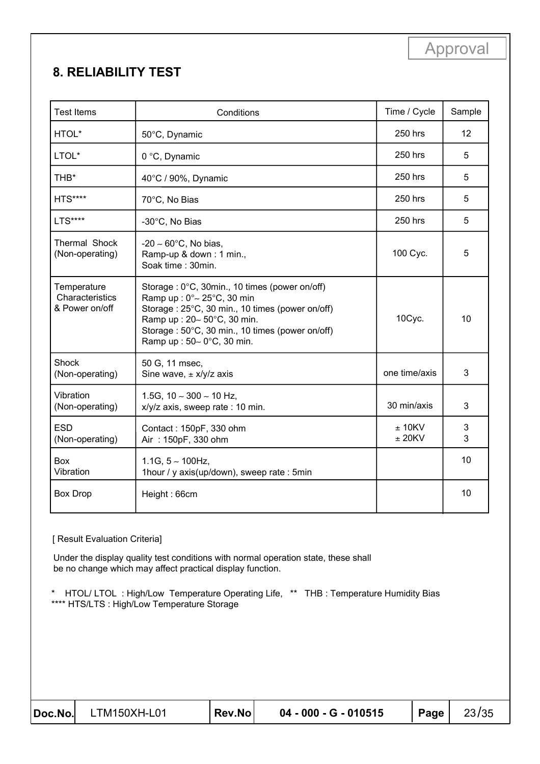# **8. RELIABILITY TEST**

| <b>Test Items</b>                                | Conditions                                                                                                                                                                                                                                                       | Time / Cycle           | Sample |
|--------------------------------------------------|------------------------------------------------------------------------------------------------------------------------------------------------------------------------------------------------------------------------------------------------------------------|------------------------|--------|
| HTOL*                                            | 50°C, Dynamic                                                                                                                                                                                                                                                    | 250 hrs                | 12     |
| LTOL*                                            | 0 °C, Dynamic                                                                                                                                                                                                                                                    | 250 hrs                | 5      |
| THB*                                             | 40°C / 90%, Dynamic                                                                                                                                                                                                                                              | 250 hrs                | 5      |
| <b>HTS****</b>                                   | 70°C, No Bias                                                                                                                                                                                                                                                    | 250 hrs                | 5      |
| <b>LTS****</b>                                   | -30°C, No Bias                                                                                                                                                                                                                                                   | 250 hrs                | 5      |
| Thermal Shock<br>(Non-operating)                 | $-20 \sim 60^{\circ}$ C, No bias,<br>Ramp-up & down: 1 min.,<br>Soak time: 30min.                                                                                                                                                                                | 100 Cyc.               | 5      |
| Temperature<br>Characteristics<br>& Power on/off | Storage: 0°C, 30min., 10 times (power on/off)<br>Ramp up: $0^{\circ}$ ~ 25 $^{\circ}$ C, 30 min<br>Storage: 25°C, 30 min., 10 times (power on/off)<br>Ramp up: 20~ 50°C, 30 min.<br>Storage: 50°C, 30 min., 10 times (power on/off)<br>Ramp up: 50~ 0°C, 30 min. | 10Cyc.                 | 10     |
| Shock<br>(Non-operating)                         | 50 G, 11 msec,<br>Sine wave, $\pm$ x/y/z axis                                                                                                                                                                                                                    | one time/axis          | 3      |
| Vibration<br>(Non-operating)                     | 1.5G, $10 \sim 300 \sim 10$ Hz,<br>x/y/z axis, sweep rate : 10 min.                                                                                                                                                                                              | 30 min/axis            | 3      |
| <b>ESD</b><br>(Non-operating)                    | Contact: 150pF, 330 ohm<br>Air: 150pF, 330 ohm                                                                                                                                                                                                                   | $± 10$ KV<br>$± 20$ KV | 3<br>3 |
| Box<br>Vibration                                 | 1.1G, $5 \sim 100$ Hz,<br>1hour / y axis(up/down), sweep rate : 5min                                                                                                                                                                                             |                        | 10     |
| <b>Box Drop</b>                                  | Height: 66cm                                                                                                                                                                                                                                                     |                        | 10     |

#### [ Result Evaluation Criteria]

Under the display quality test conditions with normal operation state, these shall be no change which may affect practical display function.

\* HTOL/ LTOL : High/Low Temperature Operating Life, \*\* THB : Temperature Humidity Bias \*\*\*\* HTS/LTS : High/Low Temperature Storage

**Doc.No**! LTM150XH-L01 **Rev.No 04 - 000 - G - 010515 Page** 23/35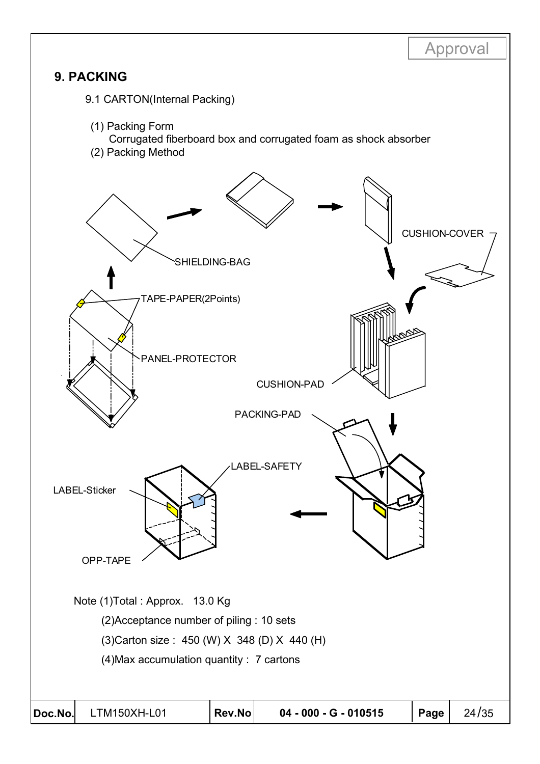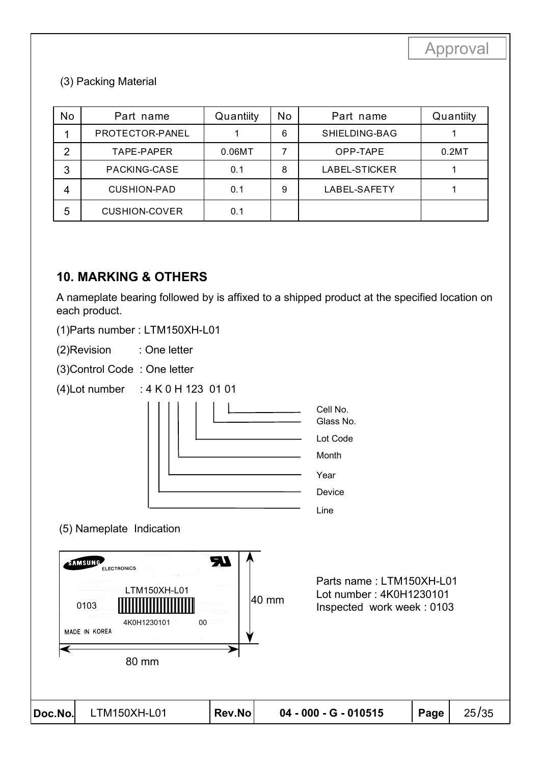#### (3) Packing Material

| No             | Part name            | Quantiity | No | Part name     | Quantiity |
|----------------|----------------------|-----------|----|---------------|-----------|
|                | PROTECTOR-PANEL      |           | 6  | SHIELDING-BAG |           |
| $\overline{2}$ | TAPE-PAPER           | 0.06MT    |    | OPP-TAPE      | 0.2MT     |
| 3              | PACKING-CASE         | 0.1       | 8  | LABEL-STICKER |           |
| 4              | <b>CUSHION-PAD</b>   | 0.1       | 9  | LABEL-SAFETY  |           |
| 5              | <b>CUSHION-COVER</b> | 0.1       |    |               |           |

### **10. MARKING & OTHERS**

A nameplate bearing followed by is affixed to a shipped product at the specified location on each product.

(1)Parts number : LTM150XH-L01

(2)Revision : One letter

(3)Control Code : One letter

(4)Lot number : 4 K 0 H 123 01 01



(5) Nameplate Indication

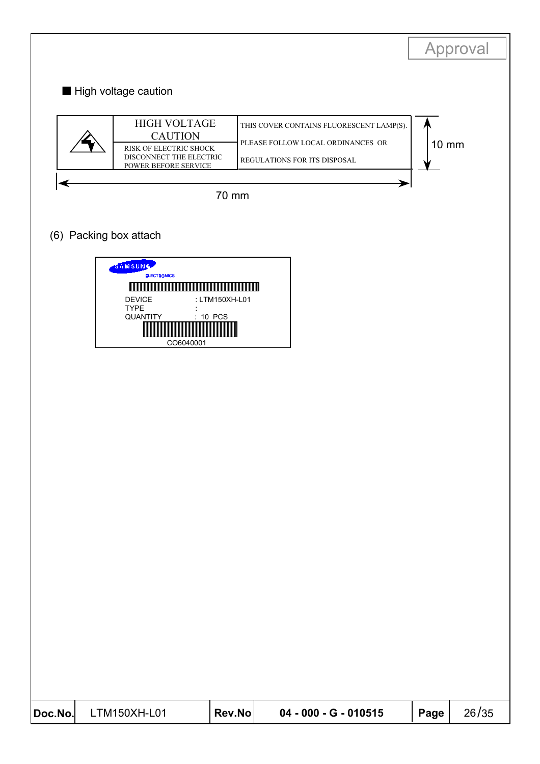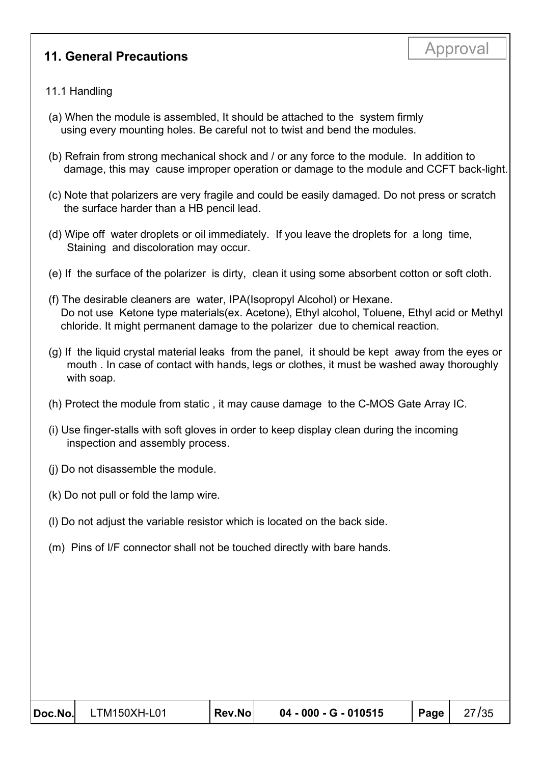# Approval **11. General Precautions**

#### 11.1 Handling

- (a) When the module is assembled, It should be attached to the system firmly using every mounting holes. Be careful not to twist and bend the modules.
- (b) Refrain from strong mechanical shock and / or any force to the module. In addition to damage, this may cause improper operation or damage to the module and CCFT back-light.
- (c) Note that polarizers are very fragile and could be easily damaged. Do not press or scratch the surface harder than a HB pencil lead.
- (d) Wipe off water droplets or oil immediately. If you leave the droplets for a long time, Staining and discoloration may occur.
- (e) If the surface of the polarizer is dirty, clean it using some absorbent cotton or soft cloth.
- (f) The desirable cleaners are water, IPA(Isopropyl Alcohol) or Hexane. Do not use Ketone type materials(ex. Acetone), Ethyl alcohol, Toluene, Ethyl acid or Methyl chloride. It might permanent damage to the polarizer due to chemical reaction.
- (g) If the liquid crystal material leaks from the panel, it should be kept away from the eyes or mouth . In case of contact with hands, legs or clothes, it must be washed away thoroughly with soap.
- (h) Protect the module from static , it may cause damage to the C-MOS Gate Array IC.
- (i) Use finger-stalls with soft gloves in order to keep display clean during the incoming inspection and assembly process.
- (j) Do not disassemble the module.
- (k) Do not pull or fold the lamp wire.
- (l) Do not adjust the variable resistor which is located on the back side.
- (m) Pins of I/F connector shall not be touched directly with bare hands.

| Doc.No. LTM150XH-L01 | Rev.No | 04 - 000 - G - 010515 | Page $ $ | 27/35 |
|----------------------|--------|-----------------------|----------|-------|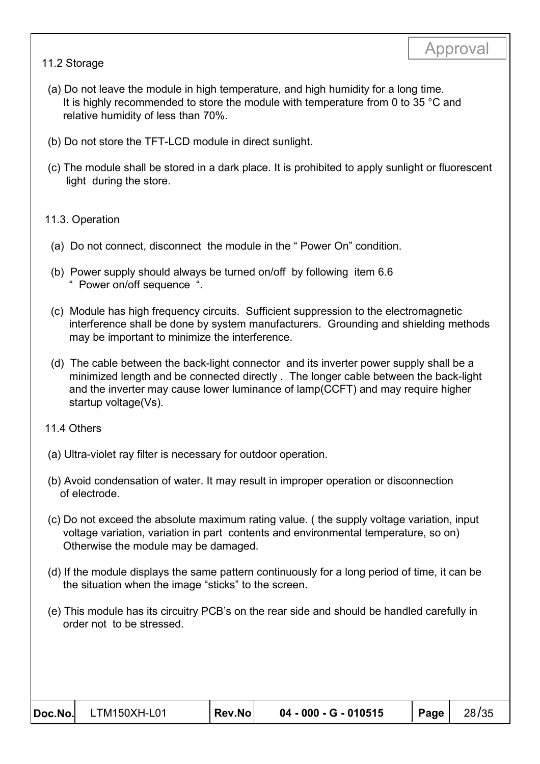#### 11.2 Storage

- (a) Do not leave the module in high temperature, and high humidity for a long time. It is highly recommended to store the module with temperature from 0 to 35 °C and relative humidity of less than 70%.
- (b) Do not store the TFT-LCD module in direct sunlight.
- (c) The module shall be stored in a dark place. It is prohibited to apply sunlight or fluorescent light during the store.

#### 11.3. Operation

- (a) Do not connect, disconnect the module in the " Power On" condition.
- (b) Power supply should always be turned on/off by following item 6.6 " Power on/off sequence ".
- (c) Module has high frequency circuits. Sufficient suppression to the electromagnetic interference shall be done by system manufacturers. Grounding and shielding methods may be important to minimize the interference.
- (d) The cable between the back-light connector and its inverter power supply shall be a minimized length and be connected directly . The longer cable between the back-light and the inverter may cause lower luminance of lamp(CCFT) and may require higher startup voltage(Vs).
- 11.4 Others
- (a) Ultra-violet ray filter is necessary for outdoor operation.
- (b) Avoid condensation of water. It may result in improper operation or disconnection of electrode.
- (c) Do not exceed the absolute maximum rating value. ( the supply voltage variation, input voltage variation, variation in part contents and environmental temperature, so on) Otherwise the module may be damaged.
- (d) If the module displays the same pattern continuously for a long period of time, it can be the situation when the image "sticks" to the screen.
- (e) This module has its circuitry PCB's on the rear side and should be handled carefully in order not to be stressed.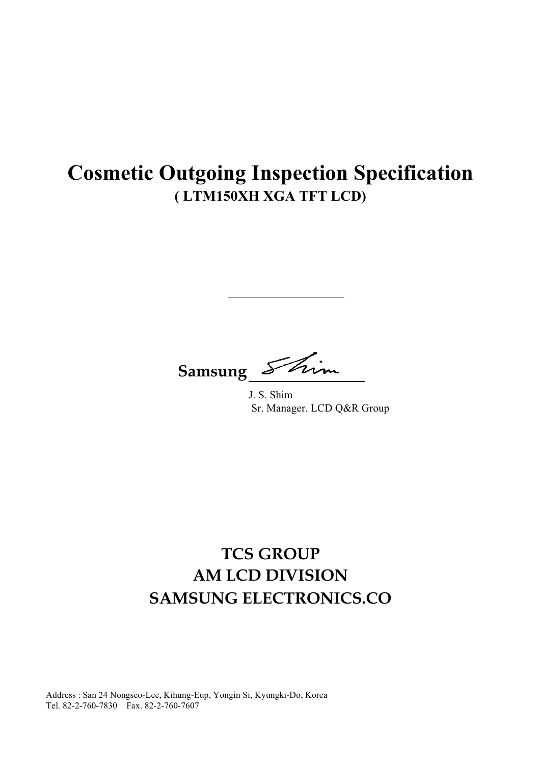# **Cosmetic Outgoing Inspection Specification** (LTM150XH XGA TFT LCD)

Samsung

J. S. Shim Sr. Manager. LCD Q&R Group

# **TCS GROUP AM LCD DIVISION SAMSUNG ELECTRONICS.CO**

Address: San 24 Nongseo-Lee, Kihung-Eup, Yongin Si, Kyungki-Do, Korea Tel. 82-2-760-7830 Fax. 82-2-760-7607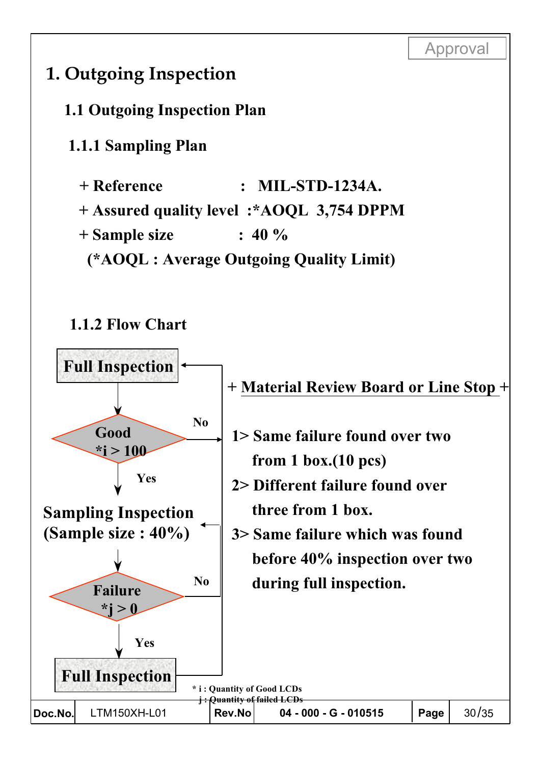

# 1. Outgoing Inspection

1.1 Outgoing Inspection Plan

1.1.1 Sampling Plan

+ Reference  $MIL-STD-1234A.$  $\ddot{\cdot}$ 

+ Assured quality level :\* AOQL 3,754 DPPM

+ Sample size  $: 40 \%$ 

(\*AOQL : Average Outgoing Quality Limit)

# 1.1.2 Flow Chart

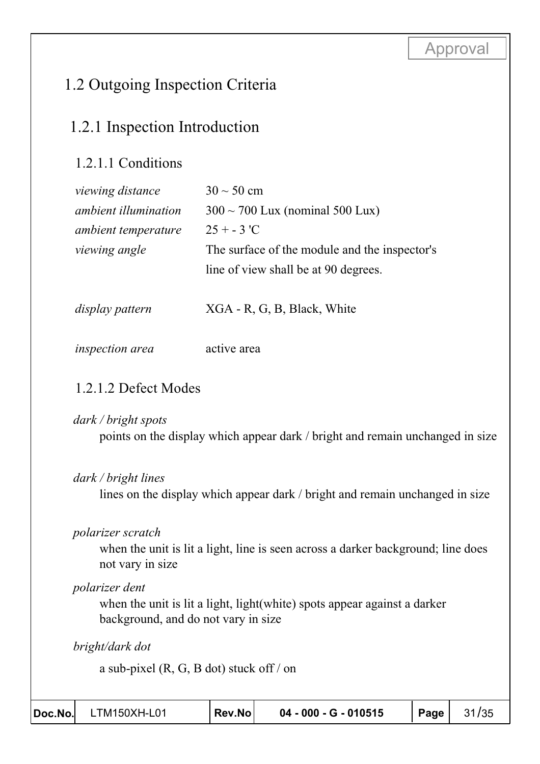# 1.2 Outgoing Inspection Criteria

# 1.2.1 Inspection Introduction

# 1.2.1.1 Conditions

| viewing distance            | $30 \sim 50$ cm                               |
|-----------------------------|-----------------------------------------------|
| <i>ambient illumination</i> | $300 \sim 700$ Lux (nominal 500 Lux)          |
| <i>ambient temperature</i>  | $25 + - 3$ 'C                                 |
| viewing angle               | The surface of the module and the inspector's |
|                             | line of view shall be at 90 degrees.          |
|                             |                                               |
| display pattern             | XGA - R, G, B, Black, White                   |
|                             |                                               |

#### active area inspection area

# 1.2.1.2 Defect Modes

#### dark / bright spots

points on the display which appear dark / bright and remain unchanged in size

### dark / bright lines

lines on the display which appear dark / bright and remain unchanged in size

### polarizer scratch

when the unit is lit a light, line is seen across a darker background; line does not vary in size

### polarizer dent

when the unit is lit a light, light (white) spots appear against a darker background, and do not vary in size

bright/dark dot

a sub-pixel  $(R, G, B \dot{\phi})$  stuck off / on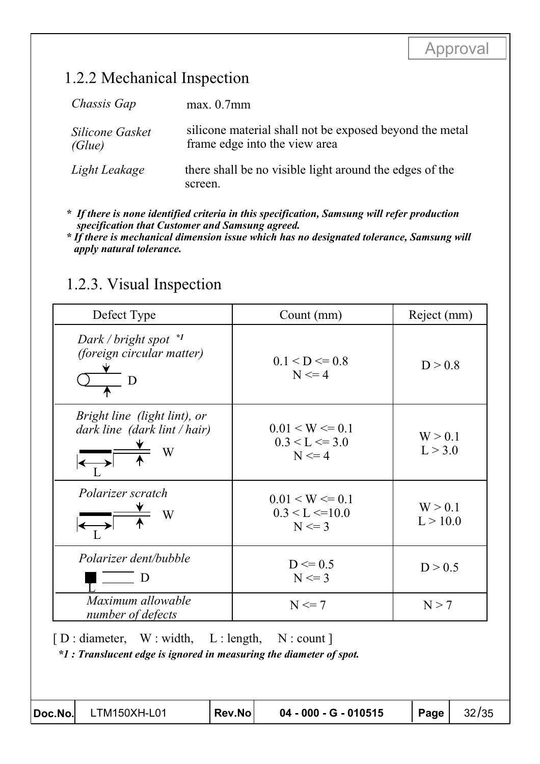# 1.2.2 Mechanical Inspection

| Chassis Gap               | max. 0.7mm                                                                               |
|---------------------------|------------------------------------------------------------------------------------------|
| Silicone Gasket<br>(Glue) | silicone material shall not be exposed beyond the metal<br>frame edge into the view area |
| Light Leakage             | there shall be no visible light around the edges of the<br>screen.                       |

\* If there is none identified criteria in this specification, Samsung will refer production specification that Customer and Samsung agreed.

\* If there is mechanical dimension issue which has no designated tolerance, Samsung will apply natural tolerance.

# 1.2.3. Visual Inspection

| Count (mm)                                                | Reject (mm)         |  |
|-----------------------------------------------------------|---------------------|--|
| $0.1 < D \le 0.8$<br>$N \leq 4$                           | D > 0.8             |  |
| $0.01 \leq W \leq 0.1$<br>$0.3 < L \le 3.0$<br>$N \leq 4$ | W > 0.1<br>L > 3.0  |  |
| $0.01 \leq W \leq 0.1$<br>0.3 < L < 10.0<br>$N \leq 3$    | W > 0.1<br>L > 10.0 |  |
| $D \le 0.5$<br>$N \leq 3$                                 | D > 0.5             |  |
| $N \leq 7$                                                | N > 7               |  |
|                                                           |                     |  |

 $f$  : Translucent edge is ignored in measuring the diameter of spot.

Doc.No.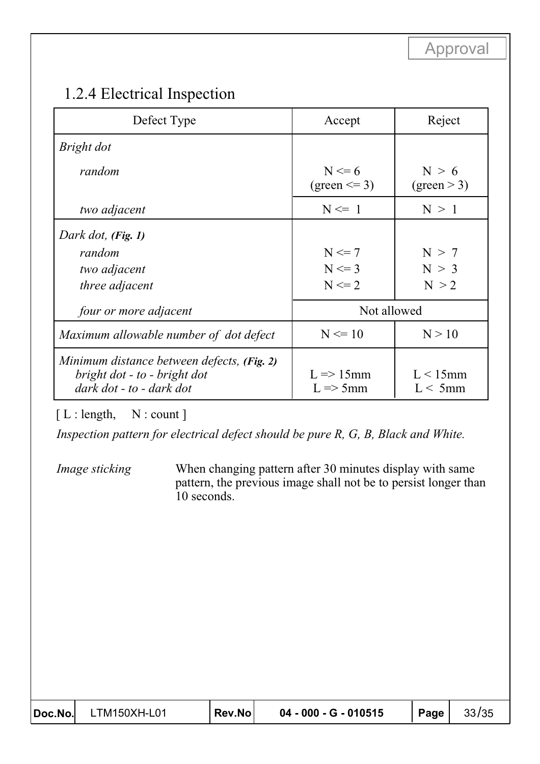# 1.2.4 Electrical Inspection

| Defect Type                                                                                            | Accept                                               | Reject                    |  |  |
|--------------------------------------------------------------------------------------------------------|------------------------------------------------------|---------------------------|--|--|
| Bright dot                                                                                             |                                                      |                           |  |  |
| random                                                                                                 | $N \le 6$<br>$(green \leq= 3)$                       | N > 6<br>(green > 3)      |  |  |
| two adjacent                                                                                           | $N \leq 1$                                           | N > 1                     |  |  |
| Dark dot, (Fig. 1)<br>random<br>two adjacent<br><i>three adjacent</i>                                  | $N \leq 7$<br>$N \leq 3$<br>$N \leq 2$               | N > 7<br>N > 3<br>N > 2   |  |  |
| four or more adjacent                                                                                  |                                                      | Not allowed               |  |  |
| Maximum allowable number of dot defect                                                                 | $N \le 10$                                           | N > 10                    |  |  |
| Minimum distance between defects, (Fig. 2)<br>bright dot - to - bright dot<br>dark dot - to - dark dot | $L \Rightarrow 15$ mm<br>$L \Rightarrow 5 \text{mm}$ | $L < 15$ mm<br>$L < 5$ mm |  |  |

 $[L: length, N: count]$ 

Inspection pattern for electrical defect should be pure R, G, B, Black and White.

Image sticking When changing pattern after 30 minutes display with same pattern, the previous image shall not be to persist longer than 10 seconds.

| Doc.No. | LTM150XH-L01 | <sup>'</sup> Rev.No⊺ | 04 - 000 - G - 010515 | Page | 33/35 |
|---------|--------------|----------------------|-----------------------|------|-------|
|---------|--------------|----------------------|-----------------------|------|-------|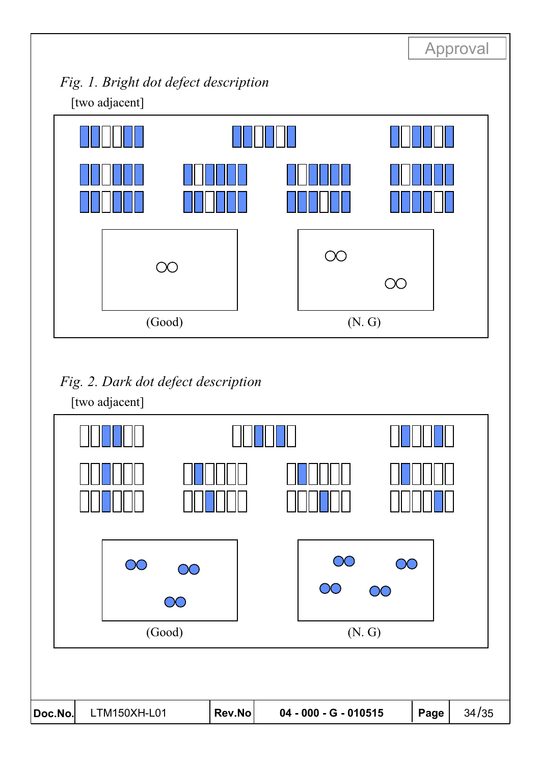